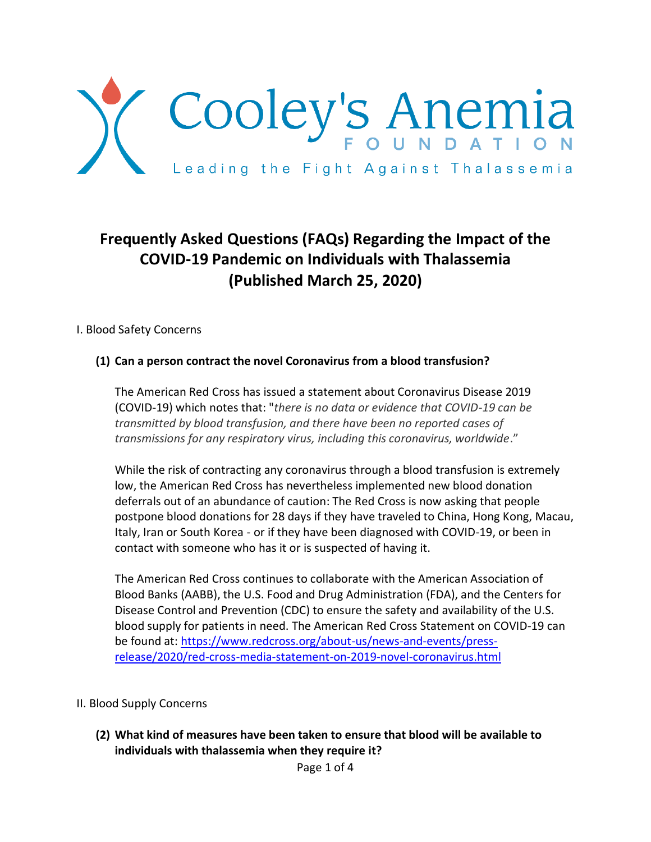

# **Frequently Asked Questions (FAQs) Regarding the Impact of the COVID-19 Pandemic on Individuals with Thalassemia (Published March 25, 2020)**

I. Blood Safety Concerns

#### **(1) Can a person contract the novel Coronavirus from a blood transfusion?**

The American Red Cross has issued a statement about Coronavirus Disease 2019 (COVID-19) which notes that: "*there is no data or evidence that COVID-19 can be transmitted by blood transfusion, and there have been no reported cases of transmissions for any respiratory virus, including this coronavirus, worldwide*."

While the risk of contracting any coronavirus through a blood transfusion is extremely low, the American Red Cross has nevertheless implemented new blood donation deferrals out of an abundance of caution: The Red Cross is now asking that people postpone blood donations for 28 days if they have traveled to China, Hong Kong, Macau, Italy, Iran or South Korea - or if they have been diagnosed with COVID-19, or been in contact with someone who has it or is suspected of having it.

The American Red Cross continues to collaborate with the American Association of Blood Banks (AABB), the U.S. Food and Drug Administration (FDA), and the Centers for Disease Control and Prevention (CDC) to ensure the safety and availability of the U.S. blood supply for patients in need. The American Red Cross Statement on COVID-19 can be found at: [https://www.redcross.org/about-us/news-and-events/press](https://www.redcross.org/about-us/news-and-events/press-release/2020/red-cross-media-statement-on-2019-novel-coronavirus.html)[release/2020/red-cross-media-statement-on-2019-novel-coronavirus.html](https://www.redcross.org/about-us/news-and-events/press-release/2020/red-cross-media-statement-on-2019-novel-coronavirus.html)

- II. Blood Supply Concerns
	- **(2) What kind of measures have been taken to ensure that blood will be available to individuals with thalassemia when they require it?**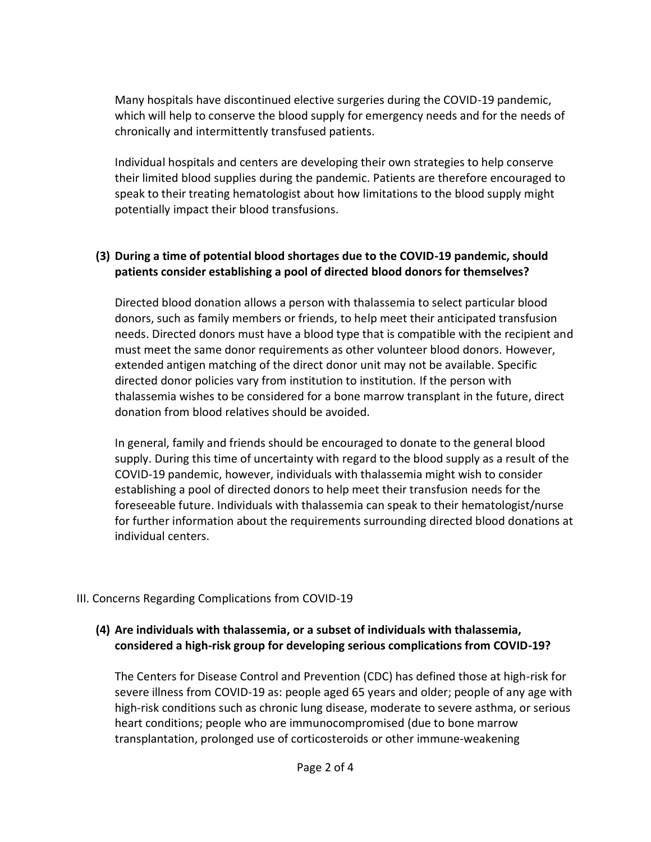Many hospitals have discontinued elective surgeries during the COVID-19 pandemic, which will help to conserve the blood supply for emergency needs and for the needs of chronically and intermittently transfused patients.

Individual hospitals and centers are developing their own strategies to help conserve their limited blood supplies during the pandemic. Patients are therefore encouraged to speak to their treating hematologist about how limitations to the blood supply might potentially impact their blood transfusions.

## **(3) During a time of potential blood shortages due to the COVID-19 pandemic, should patients consider establishing a pool of directed blood donors for themselves?**

Directed blood donation allows a person with thalassemia to select particular blood donors, such as family members or friends, to help meet their anticipated transfusion needs. Directed donors must have a blood type that is compatible with the recipient and must meet the same donor requirements as other volunteer blood donors. However, extended antigen matching of the direct donor unit may not be available. Specific directed donor policies vary from institution to institution. If the person with thalassemia wishes to be considered for a bone marrow transplant in the future, direct donation from blood relatives should be avoided.

In general, family and friends should be encouraged to donate to the general blood supply. During this time of uncertainty with regard to the blood supply as a result of the COVID-19 pandemic, however, individuals with thalassemia might wish to consider establishing a pool of directed donors to help meet their transfusion needs for the foreseeable future. Individuals with thalassemia can speak to their hematologist/nurse for further information about the requirements surrounding directed blood donations at individual centers.

## III. Concerns Regarding Complications from COVID-19

#### **(4) Are individuals with thalassemia, or a subset of individuals with thalassemia, considered a high-risk group for developing serious complications from COVID-19?**

The Centers for Disease Control and Prevention (CDC) has defined those at high-risk for severe illness from COVID-19 as: people aged 65 years and older; people of any age with high-risk conditions such as chronic lung disease, moderate to severe asthma, or serious heart conditions; people who are immunocompromised (due to bone marrow transplantation, prolonged use of corticosteroids or other immune-weakening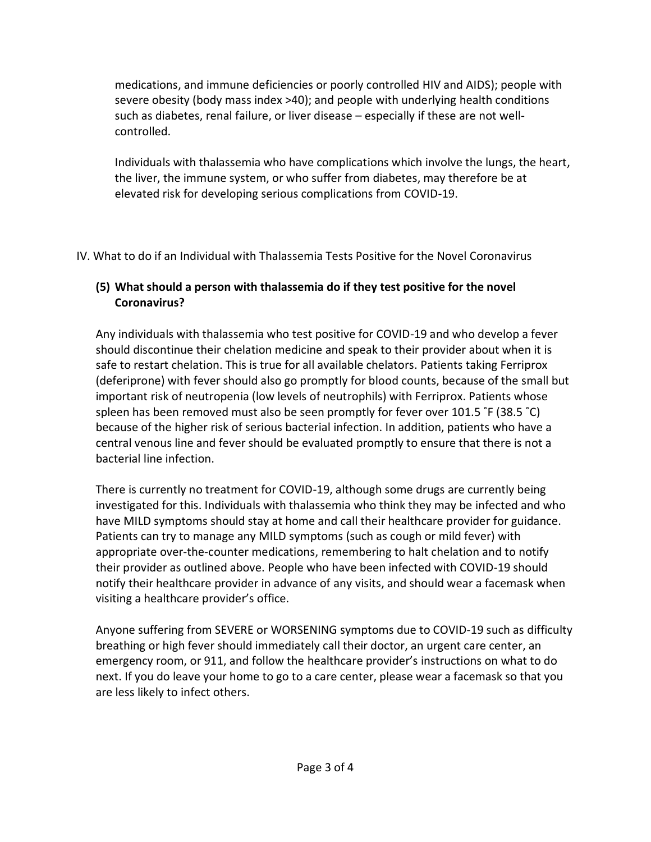medications, and immune deficiencies or poorly controlled HIV and AIDS); people with severe obesity (body mass index >40); and people with underlying health conditions such as diabetes, renal failure, or liver disease – especially if these are not wellcontrolled.

Individuals with thalassemia who have complications which involve the lungs, the heart, the liver, the immune system, or who suffer from diabetes, may therefore be at elevated risk for developing serious complications from COVID-19.

IV. What to do if an Individual with Thalassemia Tests Positive for the Novel Coronavirus

# **(5) What should a person with thalassemia do if they test positive for the novel Coronavirus?**

Any individuals with thalassemia who test positive for COVID-19 and who develop a fever should discontinue their chelation medicine and speak to their provider about when it is safe to restart chelation. This is true for all available chelators. Patients taking Ferriprox (deferiprone) with fever should also go promptly for blood counts, because of the small but important risk of neutropenia (low levels of neutrophils) with Ferriprox. Patients whose spleen has been removed must also be seen promptly for fever over 101.5 ˚F (38.5 ˚C) because of the higher risk of serious bacterial infection. In addition, patients who have a central venous line and fever should be evaluated promptly to ensure that there is not a bacterial line infection.

There is currently no treatment for COVID-19, although some drugs are currently being investigated for this. Individuals with thalassemia who think they may be infected and who have MILD symptoms should stay at home and call their healthcare provider for guidance. Patients can try to manage any MILD symptoms (such as cough or mild fever) with appropriate over-the-counter medications, remembering to halt chelation and to notify their provider as outlined above. People who have been infected with COVID-19 should notify their healthcare provider in advance of any visits, and should wear a facemask when visiting a healthcare provider's office.

Anyone suffering from SEVERE or WORSENING symptoms due to COVID-19 such as difficulty breathing or high fever should immediately call their doctor, an urgent care center, an emergency room, or 911, and follow the healthcare provider's instructions on what to do next. If you do leave your home to go to a care center, please wear a facemask so that you are less likely to infect others.